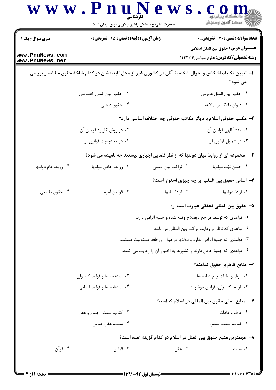| <b>سری سوال :</b> یک ۱ | <b>زمان آزمون (دقیقه) : تستی : 45 قشریحی : 0</b>                                                         |                                                                      | <b>تعداد سوالات : تستي : 30 ٪ تشريحي : 0</b>                                                 |  |  |
|------------------------|----------------------------------------------------------------------------------------------------------|----------------------------------------------------------------------|----------------------------------------------------------------------------------------------|--|--|
| www.PnuNews.com        |                                                                                                          |                                                                      | <b>عنــــوان درس:</b> حقوق بين الملل اسلامي<br><b>رشته تحصیلی/کد درس:</b> علوم سیاسی ۱۲۲۳۰۱۴ |  |  |
| www.PnuNews.net        |                                                                                                          |                                                                      |                                                                                              |  |  |
|                        | ا– تعیین تکلیف اشخاص و احوال شخصیهٔ آنان در کشوری غیر از محل تابعیتشان در کدام شاخهٔ حقوق مطالعه و بررسی |                                                                      | می شود؟                                                                                      |  |  |
|                        | ٢. حقوق بين الملل خصوصى                                                                                  |                                                                      | ٠١ حقوق بين الملل عمومي                                                                      |  |  |
|                        | ۰۴ حقوق داخلی                                                                                            |                                                                      | ۰۳ دیوان دادگستری لاهه                                                                       |  |  |
|                        |                                                                                                          |                                                                      | ۲- مکتب حقوقی اسلام با دیگر مکاتب حقوقی چه اختلاف اساسی دارد؟                                |  |  |
|                        | ۰۲ در روش کاربرد قوانین آن                                                                               |                                                                      | ٠١. منشأ الهي قوانين آن                                                                      |  |  |
|                        | ۰۴ در محدودیت قوانین آن                                                                                  |                                                                      | ۰۳ در شمول قوانین آن                                                                         |  |  |
|                        | <b>۳</b> -   مجموعه ای از روابط میان دولتها که از نظر قضایی اجباری نیستند چه نامیده می شود؟              |                                                                      |                                                                                              |  |  |
| ۰۴ روابط عام دولتها    | ۰۳ روابط خاص دولتها                                                                                      | ٠٢ نزاكت بين المللي                                                  | ٠١. حسن نيّت دولتها                                                                          |  |  |
|                        |                                                                                                          |                                                                      | ۴– اساس حقوق بین المللی بر چه چیزی استوار است؟                                               |  |  |
| ۰۴ حقوق طبیعی          | ۰۳ قوانين آمره                                                                                           | ۰۲ ارادهٔ ملتها                                                      | ۰۱ ارادهٔ دولتها                                                                             |  |  |
|                        |                                                                                                          |                                                                      | ۵– حقوق بين المللي تحققي عبارت است از:                                                       |  |  |
|                        |                                                                                                          | ٠١ قواعدي كه توسط مراجع ذيصلاح وضع شده و جنبه الزامي دارد.           |                                                                                              |  |  |
|                        |                                                                                                          |                                                                      | ٢. قواعدي كه ناظر بر رعايت نزاكت بين المللي مي باشد.                                         |  |  |
|                        | ۰۳ قواعدی که جنبهٔ الزامی ندارد و دولتها در قبال آن فاقد مسئولیت هستند.                                  |                                                                      |                                                                                              |  |  |
|                        |                                                                                                          | ۰۴ قواعدی که جنبهٔ خاص دارند و کشورها به اختیار آن را رعایت می کنند. |                                                                                              |  |  |
|                        |                                                                                                          |                                                                      | ۶– منابع ظاهری حقوق کدامند؟                                                                  |  |  |
|                        | ۰۲ عهدنامه ها و قواعد کنسولی                                                                             |                                                                      | ۰۱ عرف و عادات و عهدنامه ها                                                                  |  |  |
|                        | ۰۴ عهدنامه ها و قواعد قضایی                                                                              |                                                                      | ۰۳ قواعد كنسولى، قوانين موضوعه                                                               |  |  |
|                        |                                                                                                          |                                                                      | ٧–  منابع اصلی حقوق بین المللی در اسلام کدامند؟                                              |  |  |
|                        | ٠٢ كتاب، سنت، اجماع و عقل                                                                                |                                                                      | ۰۱ عرف و عادات                                                                               |  |  |
|                        | ۰۴ سنت، عقل، قياس                                                                                        |                                                                      | ۰۳ کتاب، سنت، قیاس                                                                           |  |  |
|                        |                                                                                                          |                                                                      | ٨−  مهمترين منبع حقوق بين الملل در اسلام در كدام گزينه آمده است؟                             |  |  |
| ۰۴ قرآن                | ۰۳ قیاس                                                                                                  | ۰۲ عقل                                                               | ۰۱ سنت                                                                                       |  |  |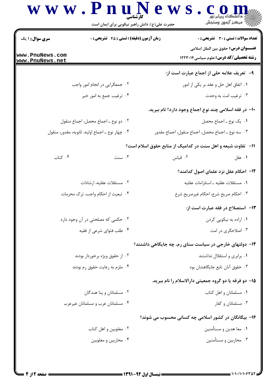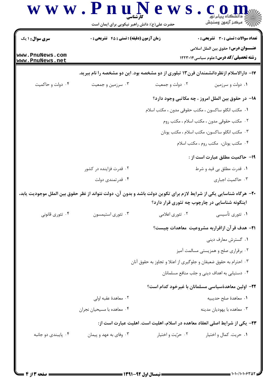| <b>سری سوال : ۱ یک</b>             | <b>زمان آزمون (دقیقه) : تستی : 45 تشریحی : 0</b>                                                                    |                   | <b>تعداد سوالات : تستی : 30 ٪ تشریحی : 0</b>                                                |  |
|------------------------------------|---------------------------------------------------------------------------------------------------------------------|-------------------|---------------------------------------------------------------------------------------------|--|
| www.PnuNews.com<br>www.PnuNews.net |                                                                                                                     |                   | <b>عنــــوان درس:</b> حقوق بين الملل اسلامي<br><b>رشته تحصیلی/کد درس:</b> علوم سیاسی1۲۲۳۰۱۴ |  |
|                                    | ۱۷– دارالاسلام ازنظردانشمندان قرن۱۳ تبلوری از دو مشخصه بود. این دو مشخصه را نام ببرید.                              |                   |                                                                                             |  |
| ۰۴ دولت و حاکمیت                   | ۰۳ سرزمین و جمعیت                                                                                                   | ۰۲ دولت و جمعیت   | ۰۱ دولت و سرزمین                                                                            |  |
|                                    |                                                                                                                     |                   | ۱۸– در حقوق بین الملل امروز ، چه مکاتبی وجود دارد؟                                          |  |
|                                    |                                                                                                                     |                   | <mark>۱.</mark> مکتب انگلو ساکسون ، مکتب حقوقی مدون ، مکتب اسلام                            |  |
|                                    |                                                                                                                     |                   | ۰۲ مکتب حقوقی مدون ، مکتب اسلام ، مکتب روم                                                  |  |
|                                    |                                                                                                                     |                   | ۰۳ مکتب انگلو ساکسون، مکتب اسلام ، مکتب یونان                                               |  |
|                                    |                                                                                                                     |                   | ۰۴ مكتب يونان، مكتب روم ، مكتب اسلام                                                        |  |
|                                    |                                                                                                                     |                   | <b>۱۹</b> - حاکمیت مطلق عبارت است از :                                                      |  |
|                                    | ۰۲ قدرت فزاینده در کشور                                                                                             |                   | ۰۱ قدرت مطلق بي قيد و شرط                                                                   |  |
|                                    | ۰۴ قدرتمندی دولت                                                                                                    |                   | ٠٣ حاكميت اجبارى                                                                            |  |
|                                    | +۲- هرگاه شناسایی یکی از شرایط لازم برای تکوین دولت باشد و بدون آن، دولت نتواند از نظر حقوق بین الملل موجودیت یابد، |                   | اینگونه شناسایی در چارچوب چه تئوری قرار دارد؟                                               |  |
| ۰۴ تئوري قانوني                    | ۰۳ تئوري استيمسون                                                                                                   | ۰۲ تئوري اعلامي   | ۰۱ تئوري تأسيسي                                                                             |  |
|                                    | <b>۲۱</b> – هدف قر آن ازاقراربه مشروعیت معاهدات چیست؟                                                               |                   |                                                                                             |  |
|                                    |                                                                                                                     |                   | ۰۱ گسترش معارف ديني                                                                         |  |
|                                    |                                                                                                                     |                   | ۰۲ برقراری صلح و همزیستی مسالمت آمیز                                                        |  |
|                                    | ۰۳ احترام به حقوق ضعیفان و جلوگیری از اعتلا و تجاوز به حقوق آنان                                                    |                   |                                                                                             |  |
|                                    |                                                                                                                     |                   | ۰۴ دستیابی به اهداف دینی و جلب منافع مسلمانان                                               |  |
|                                    | ٢٢– اولین معاهدةسیاسی مسلمانان با غیرخود کدام است؟                                                                  |                   |                                                                                             |  |
|                                    | ۰۲ معاهدهٔ عقبه اولی                                                                                                |                   | ٠١. معاهدة صلح حديبيه                                                                       |  |
|                                    | ۰۴ معاهده با مسيحيان نجران                                                                                          |                   | ۰۳ معاهده با يهوديان مدينه                                                                  |  |
|                                    |                                                                                                                     |                   | ۲۳– یکی از شرایط اصلی انعقاد معاهده در اسلام، اهلیت است. اهلیت عبارت است از:                |  |
| ۰۴ پايبندي دو جانبه                | ۰۳ وفاي به عهد و پيمان                                                                                              | ۰۲ حرّيت و اختيار | ٠١ حريت. كمال و اختيار                                                                      |  |